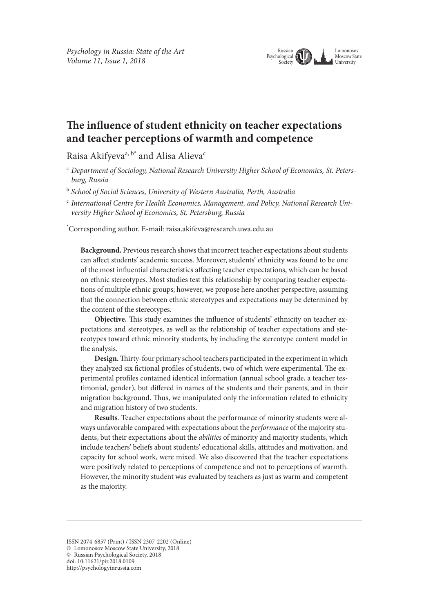

# **Te infuence of student ethnicity on teacher expectations and teacher perceptions of warmth and competence**

Raisa Akifyeva<sup>a, b\*</sup> and Alisa Alieva<sup>c</sup>

<sup>a</sup> *Department of Sociology, National Research University Higher School of Economics, St. Petersburg, Russia*

<sup>b</sup> *School of Social Sciences, University of Western Australia, Perth, Australia*

<sup>c</sup> *International Centre for Health Economics, Management, and Policy, National Research University Higher School of Economics, St. Petersburg, Russia*

\* Corresponding author. E-mail: raisa.akifeva@research.uwa.edu.au

**Background.** Previous research shows that incorrect teacher expectations about students can afect students' academic success. Moreover, students' ethnicity was found to be one of the most infuential characteristics afecting teacher expectations, which can be based on ethnic stereotypes. Most studies test this relationship by comparing teacher expectations of multiple ethnic groups; however, we propose here another perspective, assuming that the connection between ethnic stereotypes and expectations may be determined by the content of the stereotypes.

**Objective.** This study examines the influence of students' ethnicity on teacher expectations and stereotypes, as well as the relationship of teacher expectations and stereotypes toward ethnic minority students, by including the stereotype content model in the analysis.

**Design.**Tirty-four primary school teachers participated in the experiment in which they analyzed six fictional profiles of students, two of which were experimental. The experimental profles contained identical information (annual school grade, a teacher testimonial, gender), but difered in names of the students and their parents, and in their migration background. Thus, we manipulated only the information related to ethnicity and migration history of two students.

**Results***.* Teacher expectations about the performance of minority students were always unfavorable compared with expectations about the *performance* of the majority students, but their expectations about the *abilities* of minority and majority students, which include teachers' beliefs about students' educational skills, attitudes and motivation, and capacity for school work, were mixed. We also discovered that the teacher expectations were positively related to perceptions of competence and not to perceptions of warmth. However, the minority student was evaluated by teachers as just as warm and competent as the majority.

ISSN 2074-6857 (Print) / ISSN 2307-2202 (Online) © Lomonosov Moscow State University, 2018 © Russian Psychological Society, 2018 doi: 10.11621/pir.2018.0109 http://psychologyinrussia.com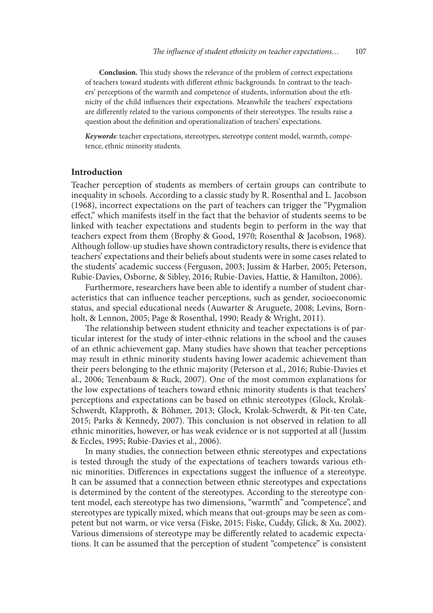**Conclusion.** This study shows the relevance of the problem of correct expectations of teachers toward students with diferent ethnic backgrounds. In contrast to the teachers' perceptions of the warmth and competence of students, information about the ethnicity of the child infuences their expectations. Meanwhile the teachers' expectations are differently related to the various components of their stereotypes. The results raise a question about the defnition and operationalization of teachers' expectations.

*Keywords*: teacher expectations, stereotypes, stereotype content model, warmth, competence, ethnic minority students.

# **Introduction**

Teacher perception of students as members of certain groups can contribute to inequality in schools. According to a classic study by R. Rosenthal and L. Jacobson (1968), incorrect expectations on the part of teachers can trigger the "Pygmalion efect," which manifests itself in the fact that the behavior of students seems to be linked with teacher expectations and students begin to perform in the way that teachers expect from them (Brophy & Good, 1970; Rosenthal & Jacobson, 1968). Although follow-up studies have shown contradictory results, there is evidence that teachers' expectations and their beliefs about students were in some cases related to the students' academic success (Ferguson, 2003; Jussim & Harber, 2005; Peterson, Rubie-Davies, Osborne, & Sibley, 2016; Rubie-Davies, Hattie, & Hamilton, 2006).

Furthermore, researchers have been able to identify a number of student characteristics that can infuence teacher perceptions, such as gender, socioeconomic status, and special educational needs (Auwarter & Aruguete, 2008; Levins, Bornholt, & Lennon, 2005; Page & Rosenthal, 1990; Ready & Wright, 2011).

The relationship between student ethnicity and teacher expectations is of particular interest for the study of inter-ethnic relations in the school and the causes of an ethnic achievement gap. Many studies have shown that teacher perceptions may result in ethnic minority students having lower academic achievement than their peers belonging to the ethnic majority (Peterson et al., 2016; Rubie-Davies et al., 2006; Tenenbaum & Ruck, 2007). One of the most common explanations for the low expectations of teachers toward ethnic minority students is that teachers' perceptions and expectations can be based on ethnic stereotypes (Glock, Krolak-Schwerdt, Klapproth, & Böhmer, 2013; Glock, Krolak-Schwerdt, & Pit-ten Cate, 2015; Parks & Kennedy, 2007). This conclusion is not observed in relation to all ethnic minorities, however, or has weak evidence or is not supported at all (Jussim & Eccles, 1995; Rubie-Davies et al., 2006).

In many studies, the connection between ethnic stereotypes and expectations is tested through the study of the expectations of teachers towards various ethnic minorities. Diferences in expectations suggest the infuence of a stereotype. It can be assumed that a connection between ethnic stereotypes and expectations is determined by the content of the stereotypes. According to the stereotype content model, each stereotype has two dimensions, "warmth" and "competence", and stereotypes are typically mixed, which means that out-groups may be seen as competent but not warm, or vice versa (Fiske, 2015; Fiske, Cuddy, Glick, & Xu, 2002). Various dimensions of stereotype may be diferently related to academic expectations. It can be assumed that the perception of student "competence" is consistent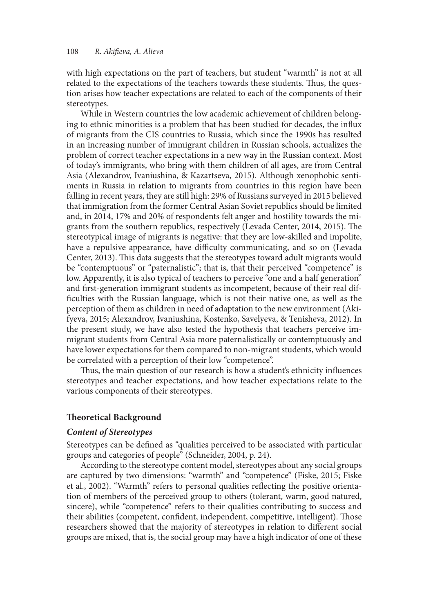with high expectations on the part of teachers, but student "warmth" is not at all related to the expectations of the teachers towards these students. Tus, the question arises how teacher expectations are related to each of the components of their stereotypes.

While in Western countries the low academic achievement of children belonging to ethnic minorities is a problem that has been studied for decades, the infux of migrants from the CIS countries to Russia, which since the 1990s has resulted in an increasing number of immigrant children in Russian schools, actualizes the problem of correct teacher expectations in a new way in the Russian context. Most of today's immigrants, who bring with them children of all ages, are from Central Asia (Alexandrov, Ivaniushina, & Kazartseva, 2015). Although xenophobic sentiments in Russia in relation to migrants from countries in this region have been falling in recent years, they are still high: 29% of Russians surveyed in 2015 believed that immigration from the former Central Asian Soviet republics should be limited and, in 2014, 17% and 20% of respondents felt anger and hostility towards the migrants from the southern republics, respectively (Levada Center, 2014, 2015). The stereotypical image of migrants is negative: that they are low-skilled and impolite, have a repulsive appearance, have difficulty communicating, and so on (Levada Center, 2013). This data suggests that the stereotypes toward adult migrants would be "contemptuous" or "paternalistic"; that is, that their perceived "competence" is low. Apparently, it is also typical of teachers to perceive "one and a half generation" and frst-generation immigrant students as incompetent, because of their real diffculties with the Russian language, which is not their native one, as well as the perception of them as children in need of adaptation to the new environment (Akifyeva, 2015; Alexandrov, Ivaniushina, Kostenko, Savelyeva, & Tenisheva, 2012). In the present study, we have also tested the hypothesis that teachers perceive immigrant students from Central Asia more paternalistically or contemptuously and have lower expectations for them compared to non-migrant students, which would be correlated with a perception of their low "competence".

Thus, the main question of our research is how a student's ethnicity influences stereotypes and teacher expectations, and how teacher expectations relate to the various components of their stereotypes.

# **Teoretical Background**

# *Content of Stereotypes*

Stereotypes can be defned as "qualities perceived to be associated with particular groups and categories of people" (Schneider, 2004, p. 24).

According to the stereotype content model, stereotypes about any social groups are captured by two dimensions: "warmth" and "competence" (Fiske, 2015; Fiske et al., 2002). "Warmth" refers to personal qualities refecting the positive orientation of members of the perceived group to others (tolerant, warm, good natured, sincere), while "competence" refers to their qualities contributing to success and their abilities (competent, confdent, independent, competitive, intelligent). Tose researchers showed that the majority of stereotypes in relation to diferent social groups are mixed, that is, the social group may have a high indicator of one of these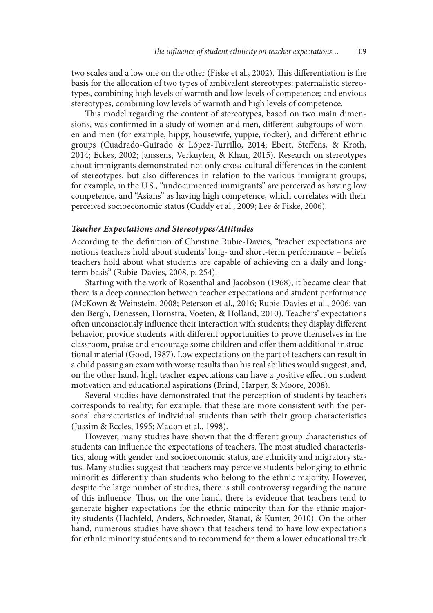two scales and a low one on the other (Fiske et al., 2002). Tis diferentiation is the basis for the allocation of two types of ambivalent stereotypes: paternalistic stereotypes, combining high levels of warmth and low levels of competence; and envious stereotypes, combining low levels of warmth and high levels of competence.

This model regarding the content of stereotypes, based on two main dimensions, was confrmed in a study of women and men, diferent subgroups of women and men (for example, hippy, housewife, yuppie, rocker), and diferent ethnic groups (Cuadrado-Guirado & López-Turrillo, 2014; Ebert, Stefens, & Kroth, 2014; Eckes, 2002; Janssens, Verkuyten, & Khan, 2015). Research on stereotypes about immigrants demonstrated not only cross-cultural diferences in the content of stereotypes, but also diferences in relation to the various immigrant groups, for example, in the U.S., "undocumented immigrants" are perceived as having low competence, and "Asians" as having high competence, which correlates with their perceived socioeconomic status (Cuddy et al., 2009; Lee & Fiske, 2006).

#### *Teacher Expectations and Stereotypes/Attitudes*

According to the defnition of Christine Rubie-Davies, "teacher expectations are notions teachers hold about students' long- and short-term performance – beliefs teachers hold about what students are capable of achieving on a daily and longterm basis" (Rubie-Davies, 2008, p. 254).

Starting with the work of Rosenthal and Jacobson (1968), it became clear that there is a deep connection between teacher expectations and student performance (McKown & Weinstein, 2008; Peterson et al., 2016; Rubie-Davies et al., 2006; van den Bergh, Denessen, Hornstra, Voeten, & Holland, 2010). Teachers' expectations ofen unconsciously infuence their interaction with students; they display diferent behavior, provide students with diferent opportunities to prove themselves in the classroom, praise and encourage some children and ofer them additional instructional material (Good, 1987). Low expectations on the part of teachers can result in a child passing an exam with worse results than his real abilities would suggest, and, on the other hand, high teacher expectations can have a positive efect on student motivation and educational aspirations (Brind, Harper, & Moore, 2008).

Several studies have demonstrated that the perception of students by teachers corresponds to reality; for example, that these are more consistent with the personal characteristics of individual students than with their group characteristics (Jussim & Eccles, 1995; Madon et al., 1998).

However, many studies have shown that the diferent group characteristics of students can influence the expectations of teachers. The most studied characteristics, along with gender and socioeconomic status, are ethnicity and migratory status. Many studies suggest that teachers may perceive students belonging to ethnic minorities diferently than students who belong to the ethnic majority. However, despite the large number of studies, there is still controversy regarding the nature of this infuence. Tus, on the one hand, there is evidence that teachers tend to generate higher expectations for the ethnic minority than for the ethnic majority students (Hachfeld, Anders, Schroeder, Stanat, & Kunter, 2010). On the other hand, numerous studies have shown that teachers tend to have low expectations for ethnic minority students and to recommend for them a lower educational track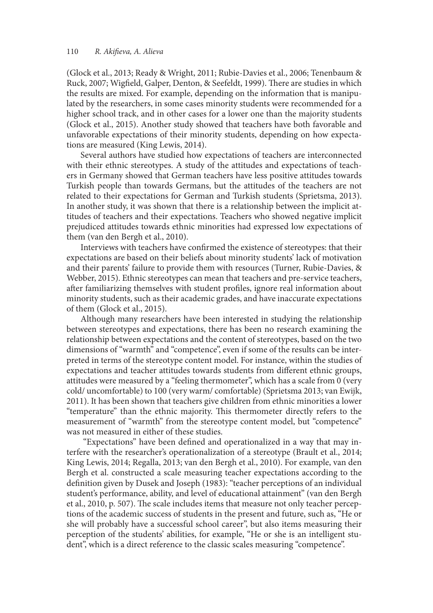(Glock et al., 2013; Ready & Wright, 2011; Rubie-Davies et al., 2006; Tenenbaum & Ruck, 2007; Wigfield, Galper, Denton, & Seefeldt, 1999). There are studies in which the results are mixed. For example, depending on the information that is manipulated by the researchers, in some cases minority students were recommended for a higher school track, and in other cases for a lower one than the majority students (Glock et al., 2015). Another study showed that teachers have both favorable and unfavorable expectations of their minority students, depending on how expectations are measured (King Lewis, 2014).

Several authors have studied how expectations of teachers are interconnected with their ethnic stereotypes. A study of the attitudes and expectations of teachers in Germany showed that German teachers have less positive attitudes towards Turkish people than towards Germans, but the attitudes of the teachers are not related to their expectations for German and Turkish students (Sprietsma, 2013). In another study, it was shown that there is a relationship between the implicit attitudes of teachers and their expectations. Teachers who showed negative implicit prejudiced attitudes towards ethnic minorities had expressed low expectations of them (van den Bergh et al., 2010).

Interviews with teachers have confrmed the existence of stereotypes: that their expectations are based on their beliefs about minority students' lack of motivation and their parents' failure to provide them with resources (Turner, Rubie-Davies, & Webber, 2015). Ethnic stereotypes can mean that teachers and pre-service teachers, afer familiarizing themselves with student profles, ignore real information about minority students, such as their academic grades, and have inaccurate expectations of them (Glock et al., 2015).

Although many researchers have been interested in studying the relationship between stereotypes and expectations, there has been no research examining the relationship between expectations and the content of stereotypes, based on the two dimensions of "warmth" and "competence", even if some of the results can be interpreted in terms of the stereotype content model. For instance, within the studies of expectations and teacher attitudes towards students from diferent ethnic groups, attitudes were measured by a "feeling thermometer", which has a scale from 0 (very cold/ uncomfortable) to 100 (very warm/ comfortable) (Sprietsma 2013; van Ewijk, 2011). It has been shown that teachers give children from ethnic minorities a lower "temperature" than the ethnic majority. This thermometer directly refers to the measurement of "warmth" from the stereotype content model, but "competence" was not measured in either of these studies.

 "Expectations" have been defned and operationalized in a way that may interfere with the researcher's operationalization of a stereotype (Brault et al., 2014; King Lewis, 2014; Regalla, 2013; van den Bergh et al., 2010). For example, van den Bergh et al. constructed a scale measuring teacher expectations according to the defnition given by Dusek and Joseph (1983): "teacher perceptions of an individual student's performance, ability, and level of educational attainment" (van den Bergh et al., 2010, p. 507). The scale includes items that measure not only teacher perceptions of the academic success of students in the present and future, such as, "He or she will probably have a successful school career", but also items measuring their perception of the students' abilities, for example, "He or she is an intelligent student", which is a direct reference to the classic scales measuring "competence".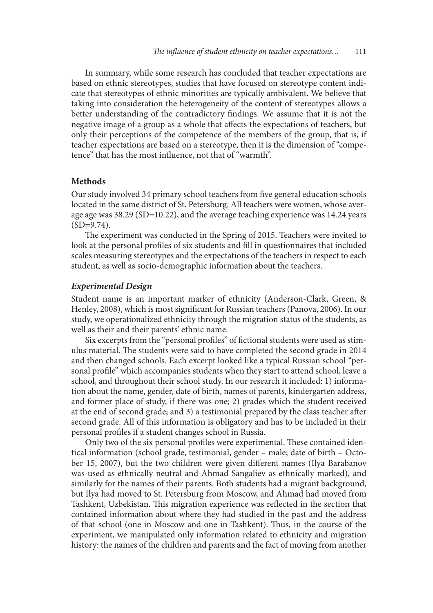In summary, while some research has concluded that teacher expectations are based on ethnic stereotypes, studies that have focused on stereotype content indicate that stereotypes of ethnic minorities are typically ambivalent. We believe that taking into consideration the heterogeneity of the content of stereotypes allows a better understanding of the contradictory fndings. We assume that it is not the negative image of a group as a whole that afects the expectations of teachers, but only their perceptions of the competence of the members of the group, that is, if teacher expectations are based on a stereotype, then it is the dimension of "competence" that has the most infuence, not that of "warmth".

#### **Methods**

Our study involved 34 primary school teachers from fve general education schools located in the same district of St. Petersburg. All teachers were women, whose average age was 38.29 (SD=10.22), and the average teaching experience was 14.24 years  $(SD=9.74)$ .

The experiment was conducted in the Spring of 2015. Teachers were invited to look at the personal profles of six students and fll in questionnaires that included scales measuring stereotypes and the expectations of the teachers in respect to each student, as well as socio-demographic information about the teachers.

#### *Experimental Design*

Student name is an important marker of ethnicity (Anderson-Clark, Green, & Henley, 2008), which is most signifcant for Russian teachers (Panova, 2006). In our study, we operationalized ethnicity through the migration status of the students, as well as their and their parents' ethnic name.

Six excerpts from the "personal profles" of fctional students were used as stimulus material. The students were said to have completed the second grade in 2014 and then changed schools. Each excerpt looked like a typical Russian school "personal profle" which accompanies students when they start to attend school, leave a school, and throughout their school study. In our research it included: 1) information about the name, gender, date of birth, names of parents, kindergarten address, and former place of study, if there was one; 2) grades which the student received at the end of second grade; and 3) a testimonial prepared by the class teacher afer second grade. All of this information is obligatory and has to be included in their personal profles if a student changes school in Russia.

Only two of the six personal profiles were experimental. These contained identical information (school grade, testimonial, gender – male; date of birth – October 15, 2007), but the two children were given diferent names (Ilya Barabanov was used as ethnically neutral and Ahmad Sangaliev as ethnically marked), and similarly for the names of their parents. Both students had a migrant background, but Ilya had moved to St. Petersburg from Moscow, and Ahmad had moved from Tashkent, Uzbekistan. This migration experience was reflected in the section that contained information about where they had studied in the past and the address of that school (one in Moscow and one in Tashkent). Tus, in the course of the experiment, we manipulated only information related to ethnicity and migration history: the names of the children and parents and the fact of moving from another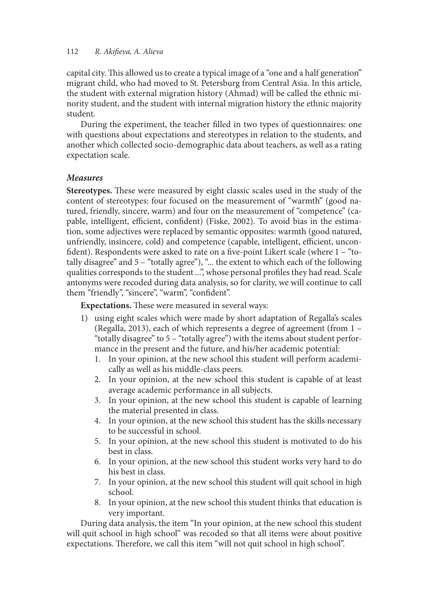capital city. This allowed us to create a typical image of a "one and a half generation" migrant child, who had moved to St. Petersburg from Central Asia. In this article, the student with external migration history (Ahmad) will be called the ethnic minority student, and the student with internal migration history the ethnic majority student.

During the experiment, the teacher flled in two types of questionnaires: one with questions about expectations and stereotypes in relation to the students, and another which collected socio-demographic data about teachers, as well as a rating expectation scale.

# *Measures*

**Stereotypes.** These were measured by eight classic scales used in the study of the content of stereotypes: four focused on the measurement of "warmth" (good natured, friendly, sincere, warm) and four on the measurement of "competence" (capable, intelligent, efficient, confident) (Fiske, 2002). To avoid bias in the estimation, some adjectives were replaced by semantic opposites: warmth (good natured, unfriendly, insincere, cold) and competence (capable, intelligent, efficient, unconfdent). Respondents were asked to rate on a fve-point Likert scale (where 1 – "totally disagree" and 5 – "totally agree"), "... the extent to which each of the following qualities corresponds to the student ...", whose personal profles they had read. Scale antonyms were recoded during data analysis, so for clarity, we will continue to call them "friendly", "sincere", "warm", "confdent".

**Expectations.** These were measured in several ways:

- 1) using eight scales which were made by short adaptation of Regalla's scales (Regalla, 2013), each of which represents a degree of agreement (from 1 – "totally disagree" to 5 – "totally agree") with the items about student performance in the present and the future, and his/her academic potential:
	- 1. In your opinion, at the new school this student will perform academically as well as his middle-class peers.
	- 2. In your opinion, at the new school this student is capable of at least average academic performance in all subjects.
	- 3. In your opinion, at the new school this student is capable of learning the material presented in class.
	- 4. In your opinion, at the new school this student has the skills necessary to be successful in school.
	- 5. In your opinion, at the new school this student is motivated to do his best in class.
	- 6. In your opinion, at the new school this student works very hard to do his best in class.
	- 7. In your opinion, at the new school this student will quit school in high school.
	- 8. In your opinion, at the new school this student thinks that education is very important.

During data analysis, the item "In your opinion, at the new school this student will quit school in high school" was recoded so that all items were about positive expectations. Therefore, we call this item "will not quit school in high school".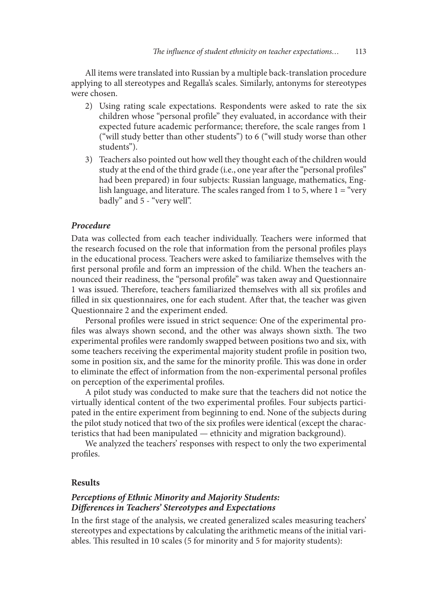All items were translated into Russian by a multiple back-translation procedure applying to all stereotypes and Regalla's scales. Similarly, antonyms for stereotypes were chosen.

- 2) Using rating scale expectations. Respondents were asked to rate the six children whose "personal profile" they evaluated, in accordance with their expected future academic performance; therefore, the scale ranges from 1 ("will study better than other students") to 6 ("will study worse than other students").
- 3) Teachers also pointed out how well they thought each of the children would study at the end of the third grade (i.e., one year after the "personal profiles" had been prepared) in four subjects: Russian language, mathematics, English language, and literature. The scales ranged from 1 to 5, where  $1 =$  "very" badly" and 5 - "very well".

#### *Procedure*

Data was collected from each teacher individually. Teachers were informed that the research focused on the role that information from the personal profles plays in the educational process. Teachers were asked to familiarize themselves with the frst personal profle and form an impression of the child. When the teachers announced their readiness, the "personal profle" was taken away and Questionnaire 1 was issued. Therefore, teachers familiarized themselves with all six profiles and filled in six questionnaires, one for each student. After that, the teacher was given Questionnaire 2 and the experiment ended.

Personal profles were issued in strict sequence: One of the experimental profiles was always shown second, and the other was always shown sixth. The two experimental profles were randomly swapped between positions two and six, with some teachers receiving the experimental majority student profle in position two, some in position six, and the same for the minority profile. This was done in order to eliminate the efect of information from the non-experimental personal profles on perception of the experimental profles.

A pilot study was conducted to make sure that the teachers did not notice the virtually identical content of the two experimental profles. Four subjects participated in the entire experiment from beginning to end. None of the subjects during the pilot study noticed that two of the six profles were identical (except the characteristics that had been manipulated — ethnicity and migration background).

We analyzed the teachers' responses with respect to only the two experimental profles.

#### **Results**

# *Perceptions of Ethnic Minority and Majority Students: Di***f***erences in Teachers' Stereotypes and Expectations*

In the frst stage of the analysis, we created generalized scales measuring teachers' stereotypes and expectations by calculating the arithmetic means of the initial variables. This resulted in 10 scales (5 for minority and 5 for majority students):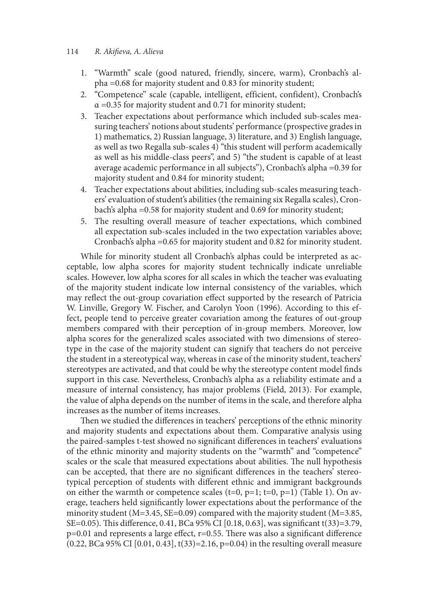- 1. "Warmth" scale (good natured, friendly, sincere, warm), Cronbach's alpha =0.68 for majority student and 0.83 for minority student;
- 2. "Competence" scale (capable, intelligent, efficient, confident), Cronbach's  $\alpha$  =0.35 for majority student and 0.71 for minority student;
- 3. Teacher expectations about performance which included sub-scales measuring teachers' notions about students' performance (prospective grades in 1) mathematics, 2) Russian language, 3) literature, and 3) English language, as well as two Regalla sub-scales 4) "this student will perform academically as well as his middle-class peers", and 5) "the student is capable of at least average academic performance in all subjects"), Cronbach's alpha =0.39 for majority student and 0.84 for minority student;
- 4. Teacher expectations about abilities, including sub-scales measuring teachers' evaluation of student's abilities (the remaining six Regalla scales), Cronbach's alpha =0.58 for majority student and 0.69 for minority student;
- 5. The resulting overall measure of teacher expectations, which combined all expectation sub-scales included in the two expectation variables above; Cronbach's alpha =0.65 for majority student and 0.82 for minority student.

While for minority student all Cronbach's alphas could be interpreted as acceptable, low alpha scores for majority student technically indicate unreliable scales. However, low alpha scores for all scales in which the teacher was evaluating of the majority student indicate low internal consistency of the variables, which may refect the out-group covariation efect supported by the research of Patricia W. Linville, Gregory W. Fischer, and Carolyn Yoon (1996). According to this effect, people tend to perceive greater covariation among the features of out-group members compared with their perception of in-group members. Moreover, low alpha scores for the generalized scales associated with two dimensions of stereotype in the case of the majority student can signify that teachers do not perceive the student in a stereotypical way, whereas in case of the minority student, teachers' stereotypes are activated, and that could be why the stereotype content model fnds support in this case. Nevertheless, Cronbach's alpha as a reliability estimate and a measure of internal consistency, has major problems (Field, 2013). For example, the value of alpha depends on the number of items in the scale, and therefore alpha increases as the number of items increases.

Then we studied the differences in teachers' perceptions of the ethnic minority and majority students and expectations about them. Comparative analysis using the paired-samples t-test showed no signifcant diferences in teachers' evaluations of the ethnic minority and majority students on the "warmth" and "competence" scales or the scale that measured expectations about abilities. The null hypothesis can be accepted, that there are no signifcant diferences in the teachers' stereotypical perception of students with diferent ethnic and immigrant backgrounds on either the warmth or competence scales  $(t=0, p=1; t=0, p=1)$  (Table 1). On average, teachers held signifcantly lower expectations about the performance of the minority student (M=3.45, SE=0.09) compared with the majority student (M=3.85, SE=0.05). This difference, 0.41, BCa 95% CI [0.18, 0.63], was significant t(33)=3.79,  $p=0.01$  and represents a large effect,  $r=0.55$ . There was also a significant difference (0.22, BCa 95% CI [0.01, 0.43], t(33)=2.16, p=0.04) in the resulting overall measure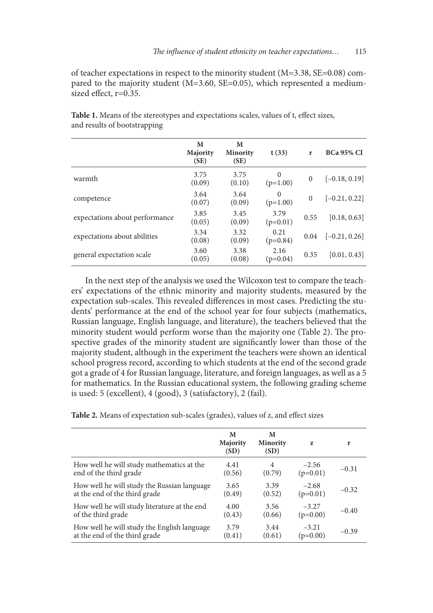of teacher expectations in respect to the minority student (M=3.38, SE=0.08) compared to the majority student (M=3.60, SE=0.05), which represented a mediumsized effect, r=0.35.

|                                | M<br>Majority<br>(SE) | M<br><b>Minority</b><br>(SE) | t(33)                  | r        | <b>BCa 95% CI</b> |
|--------------------------------|-----------------------|------------------------------|------------------------|----------|-------------------|
| warmth                         | 3.75<br>(0.09)        | 3.75<br>(0.10)               | $\Omega$<br>$(p=1.00)$ | $\Omega$ | $[-0.18, 0.19]$   |
| competence                     | 3.64<br>(0.07)        | 3.64<br>(0.09)               | $\Omega$<br>$(p=1.00)$ | $\Omega$ | $[-0.21, 0.22]$   |
| expectations about performance | 3.85<br>(0.05)        | 3.45<br>(0.09)               | 3.79<br>$(p=0.01)$     | 0.55     | [0.18, 0.63]      |
| expectations about abilities   | 3.34<br>(0.08)        | 3.32<br>(0.09)               | 0.21<br>$(p=0.84)$     | 0.04     | $[-0.21, 0.26]$   |
| general expectation scale      | 3.60<br>(0.05)        | 3.38<br>(0.08)               | 2.16<br>$(p=0.04)$     | 0.35     | [0.01, 0.43]      |

Table 1. Means of the stereotypes and expectations scales, values of t, effect sizes, and results of bootstrapping

In the next step of the analysis we used the Wilcoxon test to compare the teachers' expectations of the ethnic minority and majority students, measured by the expectation sub-scales. This revealed differences in most cases. Predicting the students' performance at the end of the school year for four subjects (mathematics, Russian language, English language, and literature), the teachers believed that the minority student would perform worse than the majority one (Table 2). The prospective grades of the minority student are signifcantly lower than those of the majority student, although in the experiment the teachers were shown an identical school progress record, according to which students at the end of the second grade got a grade of 4 for Russian language, literature, and foreign languages, as well as a 5 for mathematics. In the Russian educational system, the following grading scheme is used: 5 (excellent), 4 (good), 3 (satisfactory), 2 (fail).

| Table 2. Means of expectation sub-scales (grades), values of z, and effect sizes |  |  |  |  |
|----------------------------------------------------------------------------------|--|--|--|--|
|----------------------------------------------------------------------------------|--|--|--|--|

|                                              | M<br>Majority<br>(SD) | M<br><b>Minority</b><br>(SD) | z          | r       |
|----------------------------------------------|-----------------------|------------------------------|------------|---------|
| How well he will study mathematics at the    | 4.41                  | 4                            | $-2.56$    | $-0.31$ |
| end of the third grade                       | (0.56)                | (0.79)                       | $(p=0.01)$ |         |
| How well he will study the Russian language  | 3.65                  | 3.39                         | $-2.68$    | $-0.32$ |
| at the end of the third grade                | (0.49)                | (0.52)                       | $(p=0.01)$ |         |
| How well he will study literature at the end | 4.00                  | 3.56                         | $-3.27$    | $-0.40$ |
| of the third grade                           | (0.43)                | (0.66)                       | $(p=0.00)$ |         |
| How well he will study the English language  | 3.79                  | 3.44                         | $-3.21$    | $-0.39$ |
| at the end of the third grade                | (0.41)                | (0.61)                       | $(p=0.00)$ |         |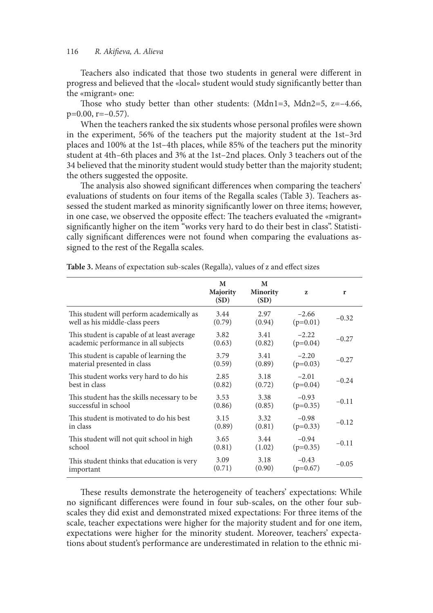Teachers also indicated that those two students in general were diferent in progress and believed that the «local» student would study signifcantly better than the «migrant» one:

Those who study better than other students: (Mdn1=3, Mdn2=5,  $z=-4.66$ ,  $p=0.00$ ,  $r=-0.57$ ).

When the teachers ranked the six students whose personal profles were shown in the experiment, 56% of the teachers put the majority student at the 1st–3rd places and 100% at the 1st–4th places, while 85% of the teachers put the minority student at 4th–6th places and 3% at the 1st–2nd places. Only 3 teachers out of the 34 believed that the minority student would study better than the majority student; the others suggested the opposite.

The analysis also showed significant differences when comparing the teachers' evaluations of students on four items of the Regalla scales (Table 3). Teachers assessed the student marked as minority signifcantly lower on three items; however, in one case, we observed the opposite effect: The teachers evaluated the «migrant» signifcantly higher on the item "works very hard to do their best in class". Statistically signifcant diferences were not found when comparing the evaluations assigned to the rest of the Regalla scales.

|                                             | M<br>Majority<br>(SD) | M<br><b>Minority</b><br>(SD) | Z          | r       |
|---------------------------------------------|-----------------------|------------------------------|------------|---------|
| This student will perform academically as   | 3.44                  | 2.97                         | $-2.66$    | $-0.32$ |
| well as his middle-class peers              | (0.79)                | (0.94)                       | $(p=0.01)$ |         |
| This student is capable of at least average | 3.82                  | 3.41                         | $-2.22$    | $-0.27$ |
| academic performance in all subjects        | (0.63)                | (0.82)                       | $(p=0.04)$ |         |
| This student is capable of learning the     | 3.79                  | 3.41                         | $-2.20$    | $-0.27$ |
| material presented in class                 | (0.59)                | (0.89)                       | $(p=0.03)$ |         |
| This student works very hard to do his      | 2.85                  | 3.18                         | $-2.01$    | $-0.24$ |
| best in class                               | (0.82)                | (0.72)                       | $(p=0.04)$ |         |
| This student has the skills necessary to be | 3.53                  | 3.38                         | $-0.93$    | $-0.11$ |
| successful in school                        | (0.86)                | (0.85)                       | $(p=0.35)$ |         |
| This student is motivated to do his best    | 3.15                  | 3.32                         | $-0.98$    | $-0.12$ |
| in class                                    | (0.89)                | (0.81)                       | $(p=0.33)$ |         |
| This student will not quit school in high   | 3.65                  | 3.44                         | $-0.94$    | $-0.11$ |
| school                                      | (0.81)                | (1.02)                       | $(p=0.35)$ |         |
| This student thinks that education is very  | 3.09                  | 3.18                         | $-0.43$    | $-0.05$ |
| important                                   | (0.71)                | (0.90)                       | $(p=0.67)$ |         |

**Table 3.** Means of expectation sub-scales (Regalla), values of z and efect sizes

These results demonstrate the heterogeneity of teachers' expectations: While no signifcant diferences were found in four sub-scales, on the other four subscales they did exist and demonstrated mixed expectations: For three items of the scale, teacher expectations were higher for the majority student and for one item, expectations were higher for the minority student. Moreover, teachers' expectations about student's performance are underestimated in relation to the ethnic mi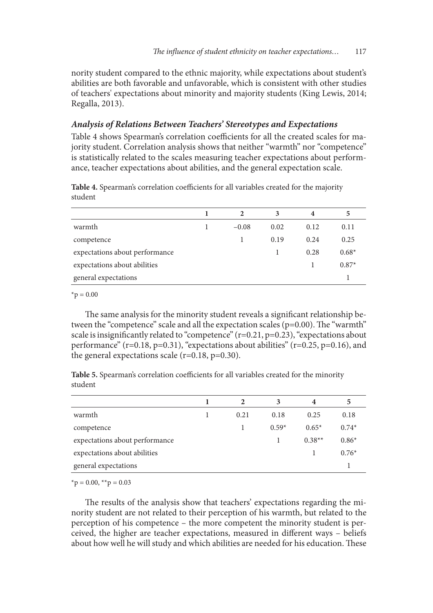nority student compared to the ethnic majority, while expectations about student's abilities are both favorable and unfavorable, which is consistent with other studies of teachers' expectations about minority and majority students (King Lewis, 2014; Regalla, 2013).

# *Analysis of Relations Between Teachers' Stereotypes and Expectations*

Table 4 shows Spearman's correlation coefficients for all the created scales for majority student. Correlation analysis shows that neither "warmth" nor "competence" is statistically related to the scales measuring teacher expectations about performance, teacher expectations about abilities, and the general expectation scale.

|                                | 2       | 3    | 4    | 5       |
|--------------------------------|---------|------|------|---------|
| warmth                         | $-0.08$ | 0.02 | 0.12 | 0.11    |
| competence                     |         | 0.19 | 0.24 | 0.25    |
| expectations about performance |         |      | 0.28 | $0.68*$ |
| expectations about abilities   |         |      |      | $0.87*$ |
| general expectations           |         |      |      |         |
|                                |         |      |      |         |

Table 4. Spearman's correlation coefficients for all variables created for the majority student

 $*_{p} = 0.00$ 

The same analysis for the minority student reveals a significant relationship between the "competence" scale and all the expectation scales ( $p=0.00$ ). The "warmth" scale is insignifcantly related to "competence" (r=0.21, p=0.23), "expectations about performance" (r=0.18, p=0.31), "expectations about abilities" (r=0.25, p=0.16), and the general expectations scale  $(r=0.18, p=0.30)$ .

**Table 5.** Spearman's correlation coefficients for all variables created for the minority student

|                                | $\mathfrak{D}$ | 3       | 4        | 5       |
|--------------------------------|----------------|---------|----------|---------|
| warmth                         | 0.21           | 0.18    | 0.25     | 0.18    |
| competence                     |                | $0.59*$ | $0.65*$  | $0.74*$ |
| expectations about performance |                |         | $0.38**$ | $0.86*$ |
| expectations about abilities   |                |         |          | $0.76*$ |
| general expectations           |                |         |          |         |

 $*_{p} = 0.00, *_{p} = 0.03$ 

The results of the analysis show that teachers' expectations regarding the minority student are not related to their perception of his warmth, but related to the perception of his competence – the more competent the minority student is perceived, the higher are teacher expectations, measured in diferent ways – beliefs about how well he will study and which abilities are needed for his education. These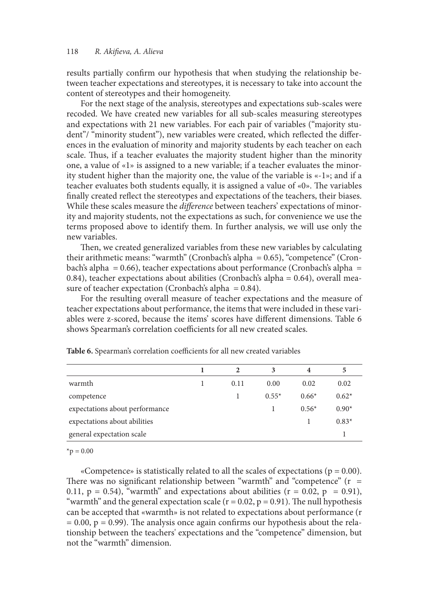results partially confrm our hypothesis that when studying the relationship between teacher expectations and stereotypes, it is necessary to take into account the content of stereotypes and their homogeneity.

For the next stage of the analysis, stereotypes and expectations sub-scales were recoded. We have created new variables for all sub-scales measuring stereotypes and expectations with 21 new variables. For each pair of variables ("majority student"/ "minority student"), new variables were created, which refected the diferences in the evaluation of minority and majority students by each teacher on each scale. Thus, if a teacher evaluates the majority student higher than the minority one, a value of «1» is assigned to a new variable; if a teacher evaluates the minority student higher than the majority one, the value of the variable is «-1»; and if a teacher evaluates both students equally, it is assigned a value of  $\alpha$ . The variables fnally created refect the stereotypes and expectations of the teachers, their biases. While these scales measure the *di*f*erence* between teachers' expectations of minority and majority students, not the expectations as such, for convenience we use the terms proposed above to identify them. In further analysis, we will use only the new variables.

Then, we created generalized variables from these new variables by calculating their arithmetic means: "warmth" (Cronbach's alpha = 0.65), "competence" (Cronbach's alpha =  $0.66$ ), teacher expectations about performance (Cronbach's alpha = 0.84), teacher expectations about abilities (Cronbach's alpha = 0.64), overall measure of teacher expectation (Cronbach's alpha =  $0.84$ ).

For the resulting overall measure of teacher expectations and the measure of teacher expectations about performance, the items that were included in these variables were z-scored, because the items' scores have diferent dimensions. Table 6 shows Spearman's correlation coefficients for all new created scales.

|                                |      | 3       | 4       | 5       |
|--------------------------------|------|---------|---------|---------|
| warmth                         | 0.11 | 0.00    | 0.02    | 0.02    |
| competence                     |      | $0.55*$ | $0.66*$ | $0.62*$ |
| expectations about performance |      |         | $0.56*$ | $0.90*$ |
| expectations about abilities   |      |         |         | $0.83*$ |
| general expectation scale      |      |         |         |         |

Table 6. Spearman's correlation coefficients for all new created variables

 $*_{p} = 0.00$ 

«Competence» is statistically related to all the scales of expectations ( $p = 0.00$ ). There was no significant relationship between "warmth" and "competence"  $(r =$ 0.11,  $p = 0.54$ ), "warmth" and expectations about abilities ( $r = 0.02$ ,  $p = 0.91$ ), "warmth" and the general expectation scale ( $r = 0.02$ ,  $p = 0.91$ ). The null hypothesis can be accepted that «warmth» is not related to expectations about performance (r  $= 0.00$ ,  $p = 0.99$ ). The analysis once again confirms our hypothesis about the relationship between the teachers' expectations and the "competence" dimension, but not the "warmth" dimension.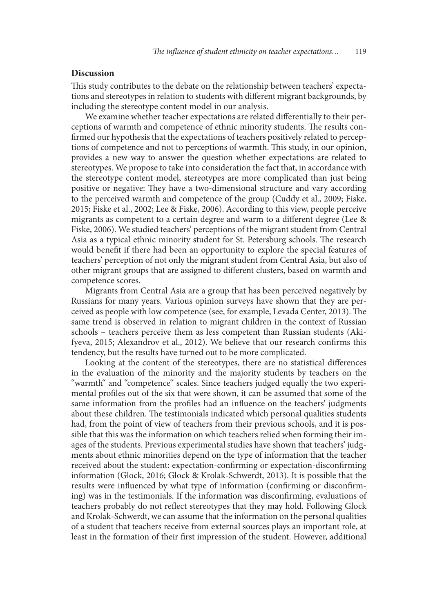#### **Discussion**

This study contributes to the debate on the relationship between teachers' expectations and stereotypes in relation to students with diferent migrant backgrounds, by including the stereotype content model in our analysis.

We examine whether teacher expectations are related diferentially to their perceptions of warmth and competence of ethnic minority students. The results confrmed our hypothesis that the expectations of teachers positively related to perceptions of competence and not to perceptions of warmth. This study, in our opinion, provides a new way to answer the question whether expectations are related to stereotypes. We propose to take into consideration the fact that, in accordance with the stereotype content model, stereotypes are more complicated than just being positive or negative: They have a two-dimensional structure and vary according to the perceived warmth and competence of the group (Cuddy et al., 2009; Fiske, 2015; Fiske et al., 2002; Lee & Fiske, 2006). According to this view, people perceive migrants as competent to a certain degree and warm to a diferent degree (Lee & Fiske, 2006). We studied teachers' perceptions of the migrant student from Central Asia as a typical ethnic minority student for St. Petersburg schools. The research would beneft if there had been an opportunity to explore the special features of teachers' perception of not only the migrant student from Central Asia, but also of other migrant groups that are assigned to diferent clusters, based on warmth and competence scores.

Migrants from Central Asia are a group that has been perceived negatively by Russians for many years. Various opinion surveys have shown that they are perceived as people with low competence (see, for example, Levada Center, 2013). The same trend is observed in relation to migrant children in the context of Russian schools – teachers perceive them as less competent than Russian students (Akifyeva, 2015; Alexandrov et al., 2012). We believe that our research confrms this tendency, but the results have turned out to be more complicated.

Looking at the content of the stereotypes, there are no statistical diferences in the evaluation of the minority and the majority students by teachers on the "warmth" and "competence" scales. Since teachers judged equally the two experimental profles out of the six that were shown, it can be assumed that some of the same information from the profles had an infuence on the teachers' judgments about these children. The testimonials indicated which personal qualities students had, from the point of view of teachers from their previous schools, and it is possible that this was the information on which teachers relied when forming their images of the students. Previous experimental studies have shown that teachers' judgments about ethnic minorities depend on the type of information that the teacher received about the student: expectation-confrming or expectation-disconfrming information (Glock, 2016; Glock & Krolak-Schwerdt, 2013). It is possible that the results were infuenced by what type of information (confrming or disconfrming) was in the testimonials. If the information was disconfrming, evaluations of teachers probably do not refect stereotypes that they may hold. Following Glock and Krolak-Schwerdt, we can assume that the information on the personal qualities of a student that teachers receive from external sources plays an important role, at least in the formation of their frst impression of the student. However, additional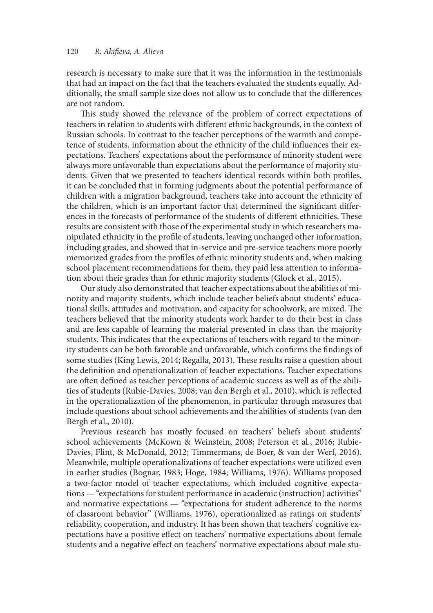research is necessary to make sure that it was the information in the testimonials that had an impact on the fact that the teachers evaluated the students equally. Additionally, the small sample size does not allow us to conclude that the diferences are not random.

This study showed the relevance of the problem of correct expectations of teachers in relation to students with diferent ethnic backgrounds, in the context of Russian schools. In contrast to the teacher perceptions of the warmth and competence of students, information about the ethnicity of the child infuences their expectations. Teachers' expectations about the performance of minority student were always more unfavorable than expectations about the performance of majority students. Given that we presented to teachers identical records within both profles, it can be concluded that in forming judgments about the potential performance of children with a migration background, teachers take into account the ethnicity of the children, which is an important factor that determined the signifcant diferences in the forecasts of performance of the students of different ethnicities. These results are consistent with those of the experimental study in which researchers manipulated ethnicity in the profle of students, leaving unchanged other information, including grades, and showed that in-service and pre-service teachers more poorly memorized grades from the profles of ethnic minority students and, when making school placement recommendations for them, they paid less attention to information about their grades than for ethnic majority students (Glock et al., 2015).

Our study also demonstrated that teacher expectations about the abilities of minority and majority students, which include teacher beliefs about students' educational skills, attitudes and motivation, and capacity for schoolwork, are mixed. The teachers believed that the minority students work harder to do their best in class and are less capable of learning the material presented in class than the majority students. This indicates that the expectations of teachers with regard to the minority students can be both favorable and unfavorable, which confrms the fndings of some studies (King Lewis, 2014; Regalla, 2013). These results raise a question about the defnition and operationalization of teacher expectations. Teacher expectations are often defined as teacher perceptions of academic success as well as of the abilities of students (Rubie-Davies, 2008; van den Bergh et al., 2010), which is refected in the operationalization of the phenomenon, in particular through measures that include questions about school achievements and the abilities of students (van den Bergh et al., 2010).

Previous research has mostly focused on teachers' beliefs about students' school achievements (McKown & Weinstein, 2008; Peterson et al., 2016; Rubie-Davies, Flint, & McDonald, 2012; Timmermans, de Boer, & van der Werf, 2016). Meanwhile, multiple operationalizations of teacher expectations were utilized even in earlier studies (Bognar, 1983; Hoge, 1984; Williams, 1976). Williams proposed a two-factor model of teacher expectations, which included cognitive expectations — "expectations for student performance in academic (instruction) activities" and normative expectations — "expectations for student adherence to the norms of classroom behavior" (Williams, 1976), operationalized as ratings on students' reliability, cooperation, and industry. It has been shown that teachers' cognitive expectations have a positive efect on teachers' normative expectations about female students and a negative efect on teachers' normative expectations about male stu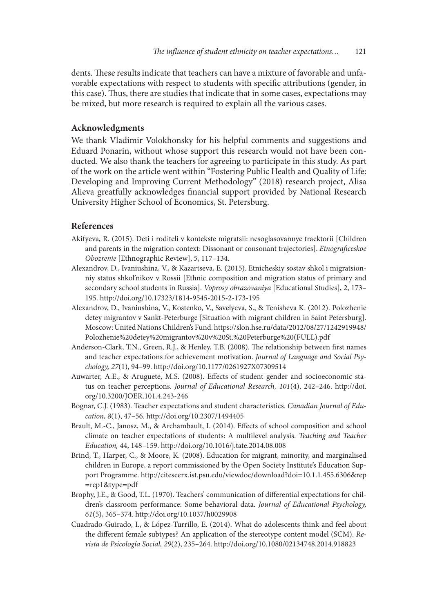dents. These results indicate that teachers can have a mixture of favorable and unfavorable expectations with respect to students with specifc attributions (gender, in this case). Tus, there are studies that indicate that in some cases, expectations may be mixed, but more research is required to explain all the various cases.

### **Acknowledgments**

We thank Vladimir Volokhonsky for his helpful comments and suggestions and Eduard Ponarin, without whose support this research would not have been conducted. We also thank the teachers for agreeing to participate in this study. As part of the work on the article went within "Fostering Public Health and Quality of Life: Developing and Improving Сurrent Methodology" (2018) research project, Alisa Alieva greatfully acknowledges fnancial support provided by National Research University Higher School of Economics, St. Petersburg.

#### **References**

- Akifyeva, R. (2015). Deti i roditeli v kontekste migratsii: nesoglasovannye traektorii [Children and parents in the migration context: Dissonant or consonant trajectories]. *Etnogra*f*ceskoe Obozrenie* [Ethnographic Review], 5, 117–134.
- Alexandrov, D., Ivaniushina, V., & Kazartseva, E. (2015). Etnicheskiy sostav shkol i migratsionniy status shkol'nikov v Rossii [Ethnic composition and migration status of primary and secondary school students in Russia]. *Voprosy obrazovaniya* [Educational Studies], 2, 173– 195. http://doi.org/10.17323/1814-9545-2015-2-173-195
- Alexandrov, D., Ivaniushina, V., Kostenko, V., Savelyeva, S., & Tenisheva K. (2012). Polozhenie detey migrantov v Sankt-Peterburge [Situation with migrant children in Saint Petersburg]. Moscow: United Nations Children's Fund. https://slon.hse.ru/data/2012/08/27/1242919948/ Polozhenie%20detey%20migrantov%20v%20St.%20Peterburge%20(FULL).pdf
- Anderson-Clark, T.N., Green, R.J., & Henley, T.B. (2008). The relationship between first names and teacher expectations for achievement motivation. *Journal of Language and Social Psychology, 27*(1), 94–99. http://doi.org/10.1177/0261927X07309514
- Auwarter, A.E., & Aruguete, M.S. (2008). Efects of student gender and socioeconomic status on teacher perceptions. *Journal of Educational Research, 101*(4), 242–246. http://doi. org/10.3200/JOER.101.4.243-246
- Bognar, C.J. (1983). Teacher expectations and student characteristics. *Canadian Journal of Education, 8*(1), 47–56. http://doi.org/10.2307/1494405
- Brault, M.-C., Janosz, M., & Archambault, I. (2014). Efects of school composition and school climate on teacher expectations of students: A multilevel analysis. *Teaching and Teacher Education,* 44, 148–159. http://doi.org/10.1016/j.tate.2014.08.008
- Brind, T., Harper, C., & Moore, K. (2008). Education for migrant, minority, and marginalised children in Europe, a report commissioned by the Open Society Institute's Education Support Programme. http://citeseerx.ist.psu.edu/viewdoc/download?doi=10.1.1.455.6306&rep =rep1&type=pdf
- Brophy, J.E., & Good, T.L. (1970). Teachers' communication of diferential expectations for children's classroom performance: Some behavioral data. *Journal of Educational Psychology, 61*(5), 365–374. http://doi.org/10.1037/h0029908
- Cuadrado-Guirado, I., & López-Turrillo, E. (2014). What do adolescents think and feel about the diferent female subtypes? An application of the stereotype content model (SCM). *Revista de Psicología Social, 29*(2), 235–264. http://doi.org/10.1080/02134748.2014.918823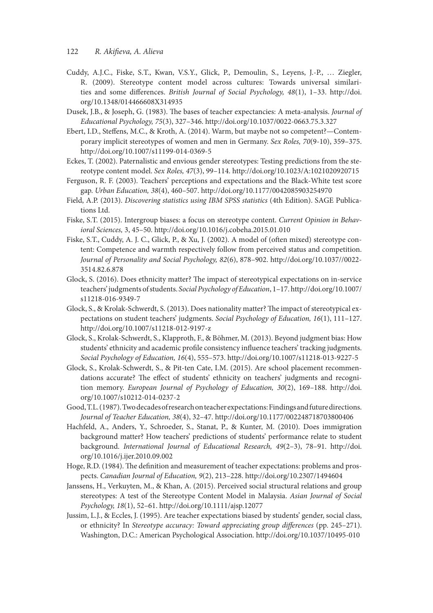- 122 *R. Aki*f*eva, A. Alieva*
- Cuddy, A.J.C., Fiske, S.T., Kwan, V.S.Y., Glick, P., Demoulin, S., Leyens, J.-P., … Ziegler, R. (2009). Stereotype content model across cultures: Towards universal similarities and some diferences. *British Journal of Social Psychology, 48*(1), 1–33. http://doi. org/10.1348/014466608X314935
- Dusek, J.B., & Joseph, G. (1983). The bases of teacher expectancies: A meta-analysis. *Journal of Educational Psychology, 75*(3), 327–346. http://doi.org/10.1037/0022-0663.75.3.327
- Ebert, I.D., Stefens, M.C., & Kroth, A. (2014). Warm, but maybe not so competent?—Contemporary implicit stereotypes of women and men in Germany. *Sex Roles, 70*(9-10), 359–375. http://doi.org/10.1007/s11199-014-0369-5
- Eckes, T. (2002). Paternalistic and envious gender stereotypes: Testing predictions from the stereotype content model. *Sex Roles, 47*(3), 99–114. http://doi.org/10.1023/A:1021020920715
- Ferguson, R. F. (2003). Teachers' perceptions and expectations and the Black-White test score gap. *Urban Education, 38*(4), 460–507. http://doi.org/10.1177/0042085903254970
- Field, A.P. (2013). *Discovering statistics using IBM SPSS statistics* (4th Edition). SAGE Publications Ltd.
- Fiske, S.T. (2015). Intergroup biases: a focus on stereotype content. *Current Opinion in Behavioral Sciences,* 3, 45–50. http://doi.org/10.1016/j.cobeha.2015.01.010
- Fiske, S.T., Cuddy, A. J. C., Glick, P., & Xu, J. (2002). A model of (ofen mixed) stereotype content: Competence and warmth respectively follow from perceived status and competition. *Journal of Personality and Social Psychology, 82*(6), 878–902. http://doi.org/10.1037//0022- 3514.82.6.878
- Glock, S. (2016). Does ethnicity matter? The impact of stereotypical expectations on in-service teachers' judgments of students. *Social Psychology of Education*, 1–17. http://doi.org/10.1007/ s11218-016-9349-7
- Glock, S., & Krolak-Schwerdt, S. (2013). Does nationality matter? The impact of stereotypical expectations on student teachers' judgments. *Social Psychology of Education, 16*(1), 111–127. http://doi.org/10.1007/s11218-012-9197-z
- Glock, S., Krolak-Schwerdt, S., Klapproth, F., & Böhmer, M. (2013). Beyond judgment bias: How students' ethnicity and academic profle consistency infuence teachers' tracking judgments. *Social Psychology of Education, 16*(4), 555–573. http://doi.org/10.1007/s11218-013-9227-5
- Glock, S., Krolak-Schwerdt, S., & Pit-ten Cate, I.M. (2015). Are school placement recommendations accurate? The effect of students' ethnicity on teachers' judgments and recognition memory. *European Journal of Psychology of Education, 30*(2), 169–188. http://doi. org/10.1007/s10212-014-0237-2
- Good, T.L. (1987). Two decades of research on teacher expectations: Findings and future directions. *Journal of Teacher Education, 38*(4), 32–47. http://doi.org/10.1177/002248718703800406
- Hachfeld, A., Anders, Y., Schroeder, S., Stanat, P., & Kunter, M. (2010). Does immigration background matter? How teachers' predictions of students' performance relate to student background. *International Journal of Educational Research, 49*(2–3), 78–91. http://doi. org/10.1016/j.ijer.2010.09.002
- Hoge, R.D. (1984). The definition and measurement of teacher expectations: problems and prospects. *Canadian Journal of Education, 9*(2), 213–228. http://doi.org/10.2307/1494604
- Janssens, H., Verkuyten, M., & Khan, A. (2015). Perceived social structural relations and group stereotypes: A test of the Stereotype Content Model in Malaysia. *Asian Journal of Social Psychology, 18*(1), 52–61. http://doi.org/10.1111/ajsp.12077
- Jussim, L.J., & Eccles, J. (1995). Are teacher expectations biased by students' gender, social class, or ethnicity? In *Stereotype accuracy: Toward appreciating group di*f*erences* (pp. 245–271). Washington, D.C.: American Psychological Association. http://doi.org/10.1037/10495-010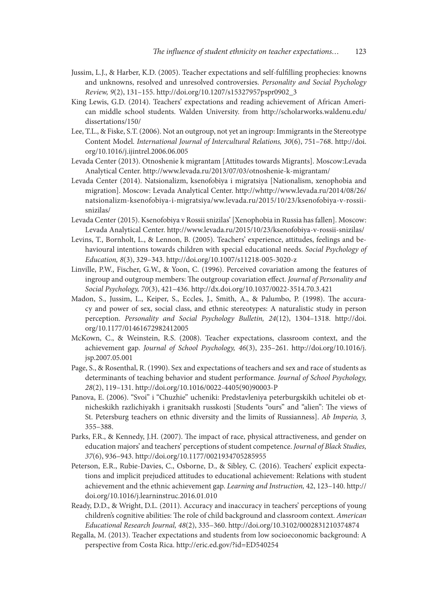- Jussim, L.J., & Harber, K.D. (2005). Teacher expectations and self-fulflling prophecies: knowns and unknowns, resolved and unresolved controversies. *Personality and Social Psychology Review, 9*(2), 131–155. http://doi.org/10.1207/s15327957pspr0902\_3
- King Lewis, G.D. (2014). Teachers' expectations and reading achievement of African American middle school students. Walden University. from http://scholarworks.waldenu.edu/ dissertations/150/
- Lee, T.L., & Fiske, S.T. (2006). Not an outgroup, not yet an ingroup: Immigrants in the Stereotype Content Model. *International Journal of Intercultural Relations, 30*(6), 751–768. http://doi. org/10.1016/j.ijintrel.2006.06.005
- Levada Center (2013). Otnoshenie k migrantam [Attitudes towards Migrants]. Moscow:Levada Analytical Center. http://www.levada.ru/2013/07/03/otnoshenie-k-migrantam/
- Levada Center (2014). Natsionalizm, ksenofobiya i migratsiya [Nationalism, xenophobia and migration]. Moscow: Levada Analytical Center. http://whttp://www.levada.ru/2014/08/26/ natsionalizm-ksenofobiya-i-migratsiya/ww.levada.ru/2015/10/23/ksenofobiya-v-rossiisnizilas/
- Levada Center (2015). Ksenofobiya v Rossii snizilas' [Xenophobia in Russia has fallen]. Moscow: Levada Analytical Center. http://www.levada.ru/2015/10/23/ksenofobiya-v-rossii-snizilas/
- Levins, T., Bornholt, L., & Lennon, B. (2005). Teachers' experience, attitudes, feelings and behavioural intentions towards children with special educational needs. *Social Psychology of Education, 8*(3), 329–343. http://doi.org/10.1007/s11218-005-3020-z
- Linville, P.W., Fischer, G.W., & Yoon, C. (1996). Perceived covariation among the features of ingroup and outgroup members: The outgroup covariation effect. *Journal of Personality and Social Psychology, 70*(3), 421–436. http://dx.doi.org/10.1037/0022-3514.70.3.421
- Madon, S., Jussim, L., Keiper, S., Eccles, J., Smith, A., & Palumbo, P. (1998). The accuracy and power of sex, social class, and ethnic stereotypes: A naturalistic study in person perception. *Personality and Social Psychology Bulletin, 24*(12), 1304–1318. http://doi. org/10.1177/01461672982412005
- McKown, C., & Weinstein, R.S. (2008). Teacher expectations, classroom context, and the achievement gap. *Journal of School Psychology, 46*(3), 235–261. http://doi.org/10.1016/j. jsp.2007.05.001
- Page, S., & Rosenthal, R. (1990). Sex and expectations of teachers and sex and race of students as determinants of teaching behavior and student performance. *Journal of School Psychology, 28*(2), 119–131. http://doi.org/10.1016/0022-4405(90)90003-P
- Panova, E. (2006). "Svoi" i "Chuzhie" ucheniki: Predstavleniya peterburgskikh uchitelei ob etnicheskikh razlichiyakh i granitsakh russkosti [Students "ours" and "alien": The views of St. Petersburg teachers on ethnic diversity and the limits of Russianness]. *Ab Imperio, 3,*  355–388.
- Parks, F.R., & Kennedy, J.H. (2007). The impact of race, physical attractiveness, and gender on education majors' and teachers' perceptions of student competence. *Journal of Black Studies, 37*(6), 936–943. http://doi.org/10.1177/0021934705285955
- Peterson, E.R., Rubie-Davies, C., Osborne, D., & Sibley, C. (2016). Teachers' explicit expectations and implicit prejudiced attitudes to educational achievement: Relations with student achievement and the ethnic achievement gap. *Learning and Instruction,* 42, 123–140. http:// doi.org/10.1016/j.learninstruc.2016.01.010
- Ready, D.D., & Wright, D.L. (2011). Accuracy and inaccuracy in teachers' perceptions of young children's cognitive abilities: The role of child background and classroom context. American *Educational Research Journal, 48*(2), 335–360. http://doi.org/10.3102/0002831210374874
- Regalla, M. (2013). Teacher expectations and students from low socioeconomic background: A perspective from Costa Rica. http://eric.ed.gov/?id=ED540254